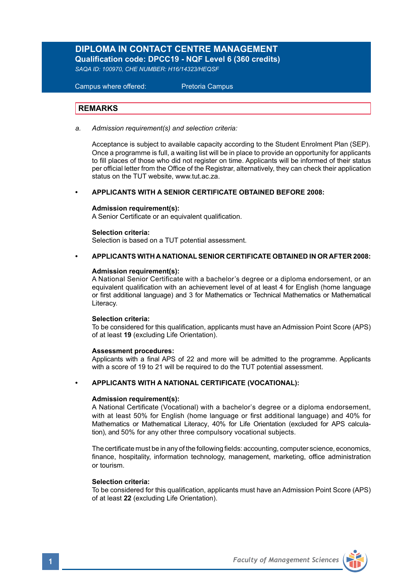# **DIPLOMA IN CONTACT CENTRE MANAGEMENT**

**Qualification code: DPCC19 - NQF Level 6 (360 credits)** 

*SAQA ID: 100970, CHE NUMBER: H16/14323/HEQSF*

 Campus where offered: Pretoria Campus

## **REMARKS**

*a. Admission requirement(s) and selection criteria:* 

Acceptance is subject to available capacity according to the Student Enrolment Plan (SEP). Once a programme is full, a waiting list will be in place to provide an opportunity for applicants to fill places of those who did not register on time. Applicants will be informed of their status per official letter from the Office of the Registrar, alternatively, they can check their application status on the TUT website, www.tut.ac.za.

#### **• APPLICANTS WITH A SENIOR CERTIFICATE OBTAINED BEFORE 2008:**

### **Admission requirement(s):**

A Senior Certificate or an equivalent qualification.

### **Selection criteria:**

Selection is based on a TUT potential assessment.

### **• APPLICANTS WITH A NATIONAL SENIOR CERTIFICATE OBTAINED IN OR AFTER 2008:**

### **Admission requirement(s):**

A National Senior Certificate with a bachelor's degree or a diploma endorsement, or an equivalent qualification with an achievement level of at least 4 for English (home language or first additional language) and 3 for Mathematics or Technical Mathematics or Mathematical Literacy.

#### **Selection criteria:**

To be considered for this qualification, applicants must have an Admission Point Score (APS) of at least **19** (excluding Life Orientation).

#### **Assessment procedures:**

Applicants with a final APS of 22 and more will be admitted to the programme. Applicants with a score of 19 to 21 will be required to do the TUT potential assessment.

### **• APPLICANTS WITH A NATIONAL CERTIFICATE (VOCATIONAL):**

#### **Admission requirement(s):**

A National Certificate (Vocational) with a bachelor's degree or a diploma endorsement, with at least 50% for English (home language or first additional language) and 40% for Mathematics or Mathematical Literacy, 40% for Life Orientation (excluded for APS calculation), and 50% for any other three compulsory vocational subjects.

The certificate must be in any of the following fields: accounting, computer science, economics, finance, hospitality, information technology, management, marketing, office administration or tourism.

# **Selection criteria:**

To be considered for this qualification, applicants must have an Admission Point Score (APS) of at least **22** (excluding Life Orientation).

**1** *Faculty of Management Sciences*

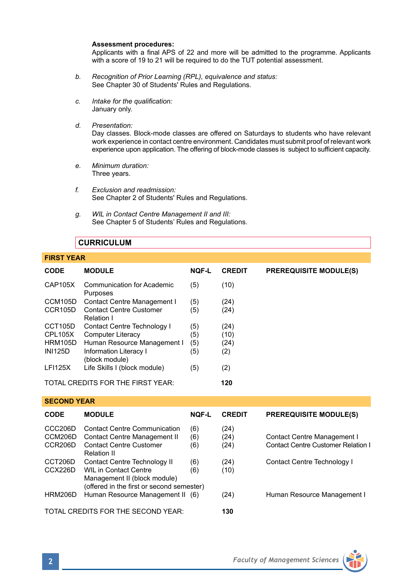#### **Assessment procedures:**

Applicants with a final APS of 22 and more will be admitted to the programme. Applicants with a score of 19 to 21 will be required to do the TUT potential assessment.

- *b. Recognition of Prior Learning (RPL), equivalence and status:* See Chapter 30 of Students' Rules and Regulations.
- *c. Intake for the qualification:* January only.
- *d. Presentation:*

 Day classes. Block-mode classes are offered on Saturdays to students who have relevant work experience in contact centre environment. Candidates must submit proof of relevant work experience upon application. The offering of block-mode classes is subject to sufficient capacity.

- *e. Minimum duration:* Three years.
- *f. Exclusion and readmission:* See Chapter 2 of Students' Rules and Regulations.
- *g. WIL in Contact Centre Management II and III:* See Chapter 5 of Students' Rules and Regulations.

# **CURRICULUM**

| <b>FIRST YEAR</b>                 |                                              |              |               |                               |  |  |
|-----------------------------------|----------------------------------------------|--------------|---------------|-------------------------------|--|--|
| <b>CODE</b>                       | <b>MODULE</b>                                | <b>NOF-L</b> | <b>CREDIT</b> | <b>PREREQUISITE MODULE(S)</b> |  |  |
| <b>CAP105X</b>                    | Communication for Academic<br>Purposes       | (5)          | (10)          |                               |  |  |
| CCM105D                           | Contact Centre Management I                  | (5)          | (24)          |                               |  |  |
| CCR105D                           | <b>Contact Centre Customer</b><br>Relation I | (5)          | (24)          |                               |  |  |
| CCT105D                           | Contact Centre Technology I                  | (5)          | (24)          |                               |  |  |
| CPL105X                           | Computer Literacy                            | (5)          | (10)          |                               |  |  |
| <b>HRM105D</b>                    | Human Resource Management I                  | (5)          | (24)          |                               |  |  |
| <b>INI125D</b>                    | Information Literacy I<br>(block module)     | (5)          | (2)           |                               |  |  |
| <b>LFI125X</b>                    | Life Skills I (block module)                 | (5)          | (2)           |                               |  |  |
| TOTAL CREDITS FOR THE FIRST YEAR: |                                              |              | 120           |                               |  |  |

### **SECOND YEAR**

| <b>CODE</b>                                | <b>MODULE</b>                                                                                                                             | <b>NOF-L</b>      | <b>CREDIT</b>        | <b>PREREQUISITE MODULE(S)</b>                                            |
|--------------------------------------------|-------------------------------------------------------------------------------------------------------------------------------------------|-------------------|----------------------|--------------------------------------------------------------------------|
| CCC <sub>206</sub> D<br>CCM206D<br>CCR206D | <b>Contact Centre Communication</b><br>Contact Centre Management II<br><b>Contact Centre Customer</b><br><b>Relation II</b>               | (6)<br>(6)<br>(6) | (24)<br>(24)<br>(24) | <b>Contact Centre Management I</b><br>Contact Centre Customer Relation I |
| CCT206D<br>CCX226D                         | Contact Centre Technology II<br><b>WIL in Contact Centre</b><br>Management II (block module)<br>(offered in the first or second semester) | (6)<br>(6)        | (24)<br>(10)         | Contact Centre Technology I                                              |
| HRM206D                                    | Human Resource Management II (6)                                                                                                          |                   | (24)                 | Human Resource Management I                                              |
|                                            | TOTAL CREDITS FOR THE SECOND YEAR:                                                                                                        | 130               |                      |                                                                          |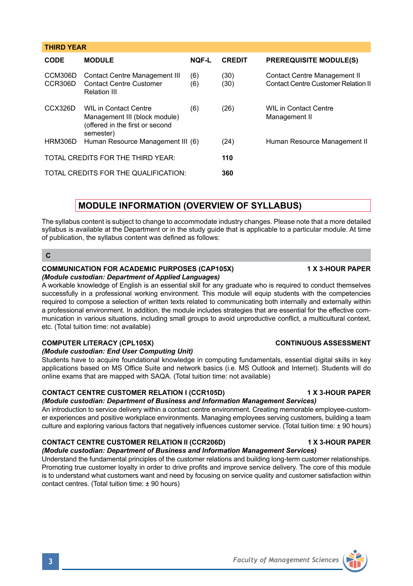| CODE               | <b>MODULE</b>                                                                                                 | <b>NOF-L</b> | <b>CREDIT</b> | <b>PREREQUISITE MODULE(S)</b>                                       |
|--------------------|---------------------------------------------------------------------------------------------------------------|--------------|---------------|---------------------------------------------------------------------|
| CCM306D<br>CCR306D | Contact Centre Management III<br><b>Contact Centre Customer</b><br><b>Relation III</b>                        | (6)<br>(6)   | (30)<br>(30)  | Contact Centre Management II<br>Contact Centre Customer Relation II |
| CCX326D            | <b>WIL in Contact Centre</b><br>Management III (block module)<br>(offered in the first or second<br>semester) | (6)          | (26)          | WII in Contact Centre<br>Management II                              |
| HRM306D            | Human Resource Management III (6)                                                                             |              | (24)          | Human Resource Management II                                        |
|                    | TOTAL CREDITS FOR THE THIRD YEAR:                                                                             |              | 110           |                                                                     |
|                    | TOTAL CREDITS FOR THE QUALIFICATION:                                                                          |              | 360           |                                                                     |

# **MODULE INFORMATION (OVERVIEW OF SYLLABUS)**

The syllabus content is subject to change to accommodate industry changes. Please note that a more detailed syllabus is available at the Department or in the study guide that is applicable to a particular module. At time of publication, the syllabus content was defined as follows:

**C**

**THIRD YEAR** 

# **COMMUNICATION FOR ACADEMIC PURPOSES (CAP105X) 4 X 3-HOUR PAPER**

### *(Module custodian: Department of Applied Languages)*

A workable knowledge of English is an essential skill for any graduate who is required to conduct themselves successfully in a professional working environment. This module will equip students with the competencies required to compose a selection of written texts related to communicating both internally and externally within a professional environment. In addition, the module includes strategies that are essential for the effective communication in various situations, including small groups to avoid unproductive conflict, a multicultural context, etc. (Total tuition time: not available)

# **COMPUTER LITERACY (CPL105X) CONTINUOUS ASSESSMENT**

### *(Module custodian: End User Computing Unit)*

Students have to acquire foundational knowledge in computing fundamentals, essential digital skills in key applications based on MS Office Suite and network basics (i.e. MS Outlook and Internet). Students will do online exams that are mapped with SAQA. (Total tuition time: not available)

# **CONTACT CENTRE CUSTOMER RELATION I (CCR105D) 1 X 3-HOUR PAPER**

# *(Module custodian: Department of Business and Information Management Services)*

An introduction to service delivery within a contact centre environment. Creating memorable employee-customer experiences and positive workplace environments. Managing employees serving customers, building a team culture and exploring various factors that negatively influences customer service. (Total tuition time: ± 90 hours)

# **CONTACT CENTRE CUSTOMER RELATION II (CCR206D) 1 X 3-HOUR PAPER**

*(Module custodian: Department of Business and Information Management Services)* Understand the fundamental principles of the customer relations and building long-term customer relationships.

Promoting true customer loyalty in order to drive profits and improve service delivery. The core of this module is to understand what customers want and need by focusing on service quality and customer satisfaction within contact centres. (Total tuition time: ± 90 hours)



**3** *Faculty of Management Sciences*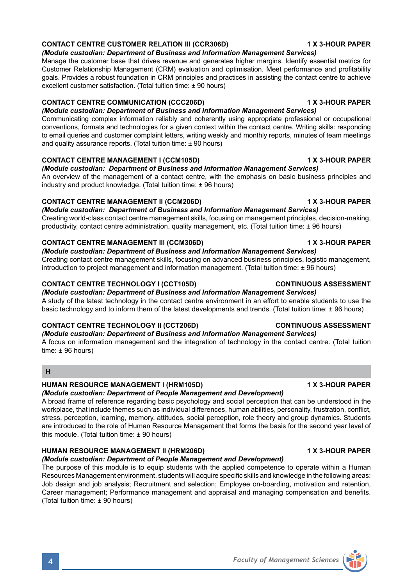### **CONTACT CENTRE CUSTOMER RELATION III (CCR306D) 1 X 3-HOUR PAPER**

### *(Module custodian: Department of Business and Information Management Services)*

Manage the customer base that drives revenue and generates higher margins. Identify essential metrics for Customer Relationship Management (CRM) evaluation and optimisation. Meet performance and profitability goals. Provides a robust foundation in CRM principles and practices in assisting the contact centre to achieve excellent customer satisfaction. (Total tuition time: ± 90 hours)

### **CONTACT CENTRE COMMUNICATION (CCC206D) 1 X 3-HOUR PAPER**

*(Module custodian: Department of Business and Information Management Services)* Communicating complex information reliably and coherently using appropriate professional or occupational

conventions, formats and technologies for a given context within the contact centre. Writing skills: responding to email queries and customer complaint letters, writing weekly and monthly reports, minutes of team meetings and quality assurance reports. (Total tuition time: ± 90 hours)

### **CONTACT CENTRE MANAGEMENT I (CCM105D) 1 X 3-HOUR PAPER**

*(Module custodian: Department of Business and Information Management Services)* An overview of the management of a contact centre, with the emphasis on basic business principles and industry and product knowledge. (Total tuition time: ± 96 hours)

### **CONTACT CENTRE MANAGEMENT II (CCM206D) 1 X 3-HOUR PAPER**

*(Module custodian: Department of Business and Information Management Services)* Creating world-class contact centre management skills, focusing on management principles, decision-making, productivity, contact centre administration, quality management, etc. (Total tuition time: ± 96 hours)

### **CONTACT CENTRE MANAGEMENT III (CCM306D) 1 X 3-HOUR PAPER**

*(Module custodian: Department of Business and Information Management Services)* Creating contact centre management skills, focusing on advanced business principles, logistic management, introduction to project management and information management. (Total tuition time: ± 96 hours)

### **CONTACT CENTRE TECHNOLOGY I (CCT105D) CONTINUOUS ASSESSMENT**

*(Module custodian: Department of Business and Information Management Services)* A study of the latest technology in the contact centre environment in an effort to enable students to use the basic technology and to inform them of the latest developments and trends. (Total tuition time: ± 96 hours)

# **CONTACT CENTRE TECHNOLOGY II (CCT206D) CONTINUOUS ASSESSMENT**

### *(Module custodian: Department of Business and Information Management Services)*

A focus on information management and the integration of technology in the contact centre. (Total tuition time: ± 96 hours)

# **H**

# **HUMAN RESOURCE MANAGEMENT I (HRM105D) 1 X 3-HOUR PAPER**

# *(Module custodian: Department of People Management and Development)*

A broad frame of reference regarding basic psychology and social perception that can be understood in the workplace, that include themes such as individual differences, human abilities, personality, frustration, conflict, stress, perception, learning, memory, attitudes, social perception, role theory and group dynamics. Students are introduced to the role of Human Resource Management that forms the basis for the second year level of this module. (Total tuition time: ± 90 hours)

# **HUMAN RESOURCE MANAGEMENT II (HRM206D) 1 X 3-HOUR PAPER**

# *(Module custodian: Department of People Management and Development)*

The purpose of this module is to equip students with the applied competence to operate within a Human Resources Management environment. students will acquire specific skills and knowledge in the following areas: Job design and job analysis; Recruitment and selection; Employee on-boarding, motivation and retention, Career management; Performance management and appraisal and managing compensation and benefits. (Total tuition time: ± 90 hours)